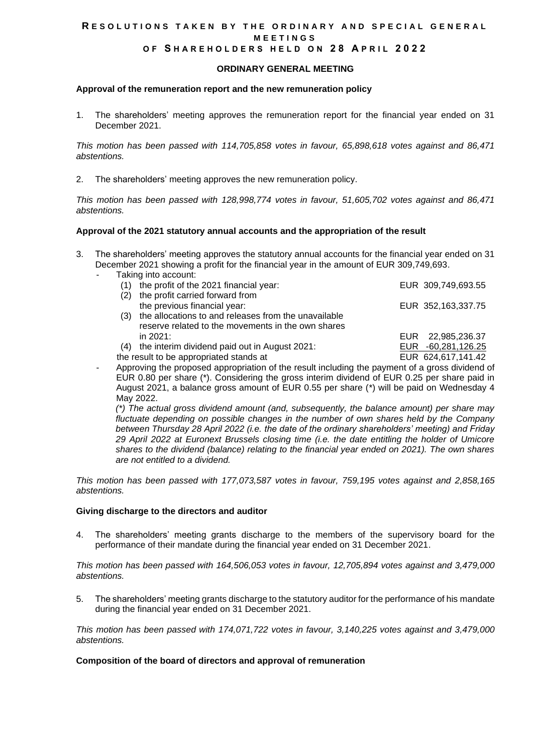## RESOLUTIONS TAKEN BY THE ORDINARY AND SPECIAL GENERAL **M E E T I N G S O F S H A R E H O L D E R S H E L D O N 2 8 A P R I L 2022**

### **ORDINARY GENERAL MEETING**

### **Approval of the remuneration report and the new remuneration policy**

1. The shareholders' meeting approves the remuneration report for the financial year ended on 31 December 2021.

*This motion has been passed with 114,705,858 votes in favour, 65,898,618 votes against and 86,471 abstentions.*

2. The shareholders' meeting approves the new remuneration policy.

*This motion has been passed with 128,998,774 votes in favour, 51,605,702 votes against and 86,471 abstentions.*

#### **Approval of the 2021 statutory annual accounts and the appropriation of the result**

- 3. The shareholders' meeting approves the statutory annual accounts for the financial year ended on 31 December 2021 showing a profit for the financial year in the amount of EUR 309,749,693.
	- Taking into account:

| (1)                                     | the profit of the 2021 financial year:               |  | EUR 309,749,693.55 |
|-----------------------------------------|------------------------------------------------------|--|--------------------|
| (2)                                     | the profit carried forward from                      |  |                    |
|                                         | the previous financial year:                         |  | EUR 352,163,337.75 |
| (3)                                     | the allocations to and releases from the unavailable |  |                    |
|                                         | reserve related to the movements in the own shares   |  |                    |
|                                         | in 2021:                                             |  | EUR 22,985,236.37  |
| (4)                                     | the interim dividend paid out in August 2021:        |  | EUR -60,281,126.25 |
| the result to be appropriated stands at |                                                      |  | EUR 624,617,141.42 |
|                                         |                                                      |  |                    |

- Approving the proposed appropriation of the result including the payment of a gross dividend of EUR 0.80 per share (\*). Considering the gross interim dividend of EUR 0.25 per share paid in August 2021, a balance gross amount of EUR 0.55 per share (\*) will be paid on Wednesday 4 May 2022.

*(\*) The actual gross dividend amount (and, subsequently, the balance amount) per share may fluctuate depending on possible changes in the number of own shares held by the Company between Thursday 28 April 2022 (i.e. the date of the ordinary shareholders' meeting) and Friday 29 April 2022 at Euronext Brussels closing time (i.e. the date entitling the holder of Umicore shares to the dividend (balance) relating to the financial year ended on 2021). The own shares are not entitled to a dividend.*

*This motion has been passed with 177,073,587 votes in favour, 759,195 votes against and 2,858,165 abstentions.*

#### **Giving discharge to the directors and auditor**

The shareholders' meeting grants discharge to the members of the supervisory board for the performance of their mandate during the financial year ended on 31 December 2021.

*This motion has been passed with 164,506,053 votes in favour, 12,705,894 votes against and 3,479,000 abstentions.*

5. The shareholders' meeting grants discharge to the statutory auditor for the performance of his mandate during the financial year ended on 31 December 2021.

*This motion has been passed with 174,071,722 votes in favour, 3,140,225 votes against and 3,479,000 abstentions.*

#### **Composition of the board of directors and approval of remuneration**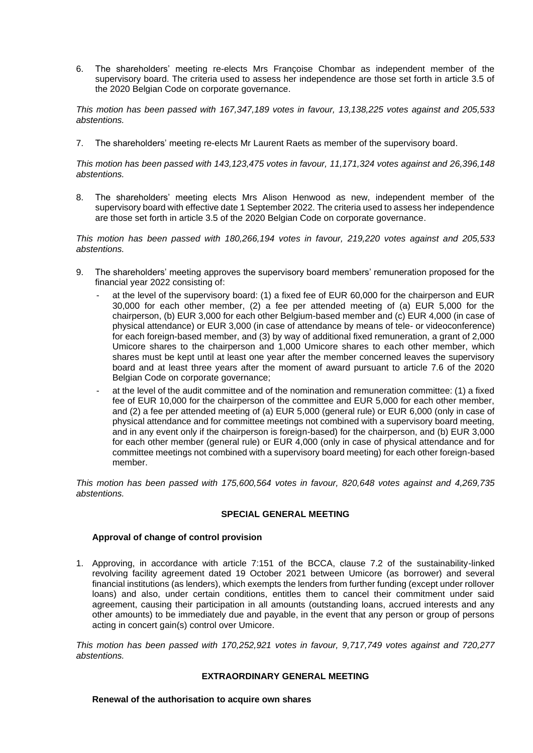6. The shareholders' meeting re-elects Mrs Françoise Chombar as independent member of the supervisory board. The criteria used to assess her independence are those set forth in article 3.5 of the 2020 Belgian Code on corporate governance.

*This motion has been passed with 167,347,189 votes in favour, 13,138,225 votes against and 205,533 abstentions.*

7. The shareholders' meeting re-elects Mr Laurent Raets as member of the supervisory board.

*This motion has been passed with 143,123,475 votes in favour, 11,171,324 votes against and 26,396,148 abstentions.*

8. The shareholders' meeting elects Mrs Alison Henwood as new, independent member of the supervisory board with effective date 1 September 2022. The criteria used to assess her independence are those set forth in article 3.5 of the 2020 Belgian Code on corporate governance.

*This motion has been passed with 180,266,194 votes in favour, 219,220 votes against and 205,533 abstentions.*

- 9. The shareholders' meeting approves the supervisory board members' remuneration proposed for the financial year 2022 consisting of:
	- at the level of the supervisory board: (1) a fixed fee of EUR 60,000 for the chairperson and EUR 30,000 for each other member, (2) a fee per attended meeting of (a) EUR 5,000 for the chairperson, (b) EUR 3,000 for each other Belgium-based member and (c) EUR 4,000 (in case of physical attendance) or EUR 3,000 (in case of attendance by means of tele- or videoconference) for each foreign-based member, and (3) by way of additional fixed remuneration, a grant of 2,000 Umicore shares to the chairperson and 1,000 Umicore shares to each other member, which shares must be kept until at least one year after the member concerned leaves the supervisory board and at least three years after the moment of award pursuant to article 7.6 of the 2020 Belgian Code on corporate governance;
	- at the level of the audit committee and of the nomination and remuneration committee: (1) a fixed fee of EUR 10,000 for the chairperson of the committee and EUR 5,000 for each other member, and (2) a fee per attended meeting of (a) EUR 5,000 (general rule) or EUR 6,000 (only in case of physical attendance and for committee meetings not combined with a supervisory board meeting, and in any event only if the chairperson is foreign-based) for the chairperson, and (b) EUR 3,000 for each other member (general rule) or EUR 4,000 (only in case of physical attendance and for committee meetings not combined with a supervisory board meeting) for each other foreign-based member.

*This motion has been passed with 175,600,564 votes in favour, 820,648 votes against and 4,269,735 abstentions.*

# **SPECIAL GENERAL MEETING**

# **Approval of change of control provision**

1. Approving, in accordance with article 7:151 of the BCCA, clause 7.2 of the sustainability-linked revolving facility agreement dated 19 October 2021 between Umicore (as borrower) and several financial institutions (as lenders), which exempts the lenders from further funding (except under rollover loans) and also, under certain conditions, entitles them to cancel their commitment under said agreement, causing their participation in all amounts (outstanding loans, accrued interests and any other amounts) to be immediately due and payable, in the event that any person or group of persons acting in concert gain(s) control over Umicore.

*This motion has been passed with 170,252,921 votes in favour, 9,717,749 votes against and 720,277 abstentions.*

# **EXTRAORDINARY GENERAL MEETING**

## **Renewal of the authorisation to acquire own shares**